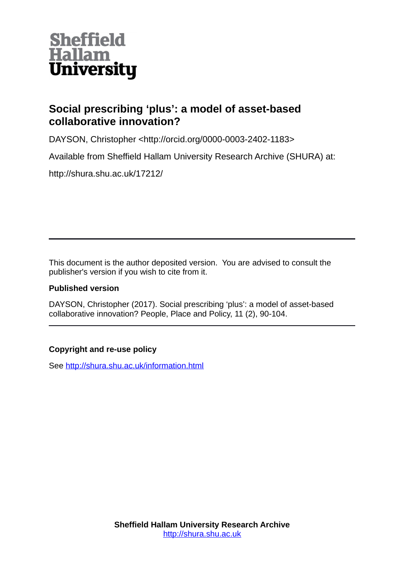

# **Social prescribing 'plus': a model of asset-based collaborative innovation?**

DAYSON, Christopher <http://orcid.org/0000-0003-2402-1183>

Available from Sheffield Hallam University Research Archive (SHURA) at:

http://shura.shu.ac.uk/17212/

This document is the author deposited version. You are advised to consult the publisher's version if you wish to cite from it.

# **Published version**

DAYSON, Christopher (2017). Social prescribing 'plus': a model of asset-based collaborative innovation? People, Place and Policy, 11 (2), 90-104.

# **Copyright and re-use policy**

See<http://shura.shu.ac.uk/information.html>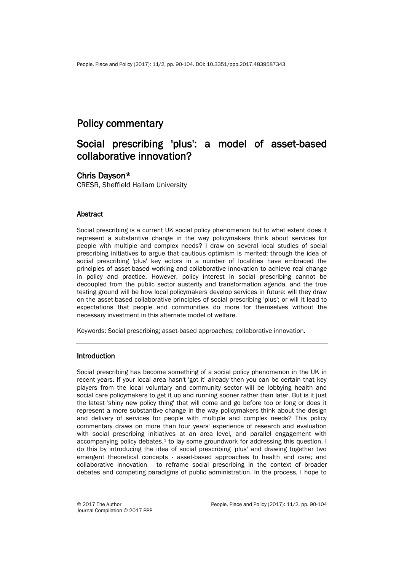# Policy commentary

# Social prescribing 'plus': a model of asset-based collaborative innovation?

## Chris Dayson\*

CRESR, Sheffield Hallam University

### **Abstract**

Social prescribing is a current UK social policy phenomenon but to what extent does it represent a substantive change in the way policymakers think about services for people with multiple and complex needs? I draw on several local studies of social prescribing initiatives to argue that cautious optimism is merited: through the idea of social prescribing 'plus' key actors in a number of localities have embraced the principles of asset-based working and collaborative innovation to achieve real change in policy and practice. However, policy interest in social prescribing cannot be decoupled from the public sector austerity and transformation agenda, and the true testing ground will be how local policymakers develop services in future: will they draw on the asset-based collaborative principles of social prescribing 'plus'; or will it lead to expectations that people and communities do more for themselves without the necessary investment in this alternate model of welfare.

Keywords: Social prescribing; asset-based approaches; collaborative innovation.

### Introduction

Social prescribing has become something of a social policy phenomenon in the UK in recent years. If your local area hasn't 'got it' already then you can be certain that key players from the local voluntary and community sector will be lobbying health and social care policymakers to get it up and running sooner rather than later. But is it just the latest 'shiny new policy thing' that will come and go before too or long or does it represent a more substantive change in the way policymakers think about the design and delivery of services for people with multiple and complex needs? This policy commentary draws on more than four years' experience of research and evaluation with social prescribing initiatives at an area level, and parallel engagement with accompanying policy debates, <sup>1</sup> to lay some groundwork for addressing this question. I do this by introducing the idea of social prescribing 'plus' and drawing together two emergent theoretical concepts - asset-based approaches to health and care; and collaborative innovation - to reframe social prescribing in the context of broader debates and competing paradigms of public administration. In the process, I hope to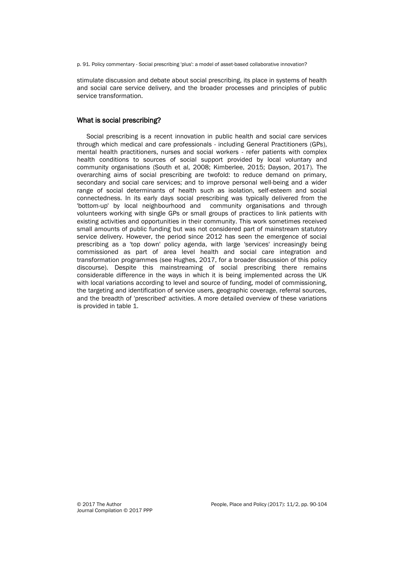p. 91. Policy commentary - Social prescribing 'plus': a model of asset-based collaborative innovation?

stimulate discussion and debate about social prescribing, its place in systems of health and social care service delivery, and the broader processes and principles of public service transformation.

#### What is social prescribing?

Social prescribing is a recent innovation in public health and social care services through which medical and care professionals - including General Practitioners (GPs), mental health practitioners, nurses and social workers - refer patients with complex health conditions to sources of social support provided by local voluntary and community organisations (South et al, 2008; Kimberlee, 2015; Dayson, 2017). The overarching aims of social prescribing are twofold: to reduce demand on primary, secondary and social care services; and to improve personal well-being and a wider range of social determinants of health such as isolation, self-esteem and social connectedness. In its early days social prescribing was typically delivered from the 'bottom-up' by local neighbourhood and community organisations and through volunteers working with single GPs or small groups of practices to link patients with existing activities and opportunities in their community. This work sometimes received small amounts of public funding but was not considered part of mainstream statutory service delivery. However, the period since 2012 has seen the emergence of social prescribing as a 'top down' policy agenda, with large 'services' increasingly being commissioned as part of area level health and social care integration and transformation programmes (see Hughes, 2017, for a broader discussion of this policy discourse). Despite this mainstreaming of social prescribing there remains considerable difference in the ways in which it is being implemented across the UK with local variations according to level and source of funding, model of commissioning, the targeting and identification of service users, geographic coverage, referral sources, and the breadth of 'prescribed' activities. A more detailed overview of these variations is provided in table 1.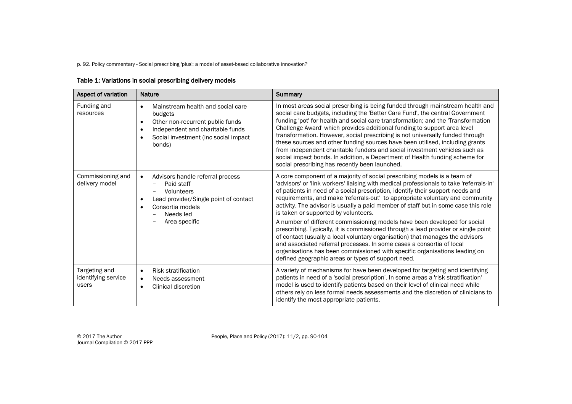p. 92. Policy commentary - Social prescribing 'plus': a model of asset-based collaborative innovation?

| Table 1: Variations in social prescribing delivery models |  |
|-----------------------------------------------------------|--|
|-----------------------------------------------------------|--|

| Aspect of variation                           | <b>Nature</b>                                                                                                                                                                                         | <b>Summary</b>                                                                                                                                                                                                                                                                                                                                                                                                                                                                                                                                                                                                                                                                                                                                                                                                                                                                                                                        |
|-----------------------------------------------|-------------------------------------------------------------------------------------------------------------------------------------------------------------------------------------------------------|---------------------------------------------------------------------------------------------------------------------------------------------------------------------------------------------------------------------------------------------------------------------------------------------------------------------------------------------------------------------------------------------------------------------------------------------------------------------------------------------------------------------------------------------------------------------------------------------------------------------------------------------------------------------------------------------------------------------------------------------------------------------------------------------------------------------------------------------------------------------------------------------------------------------------------------|
| Funding and<br>resources                      | Mainstream health and social care<br>٠<br>budgets<br>Other non-recurrent public funds<br>$\bullet$<br>Independent and charitable funds<br>$\bullet$<br>Social investment (inc social impact<br>bonds) | In most areas social prescribing is being funded through mainstream health and<br>social care budgets, including the 'Better Care Fund', the central Government<br>funding 'pot' for health and social care transformation; and the 'Transformation<br>Challenge Award' which provides additional funding to support area level<br>transformation. However, social prescribing is not universally funded through<br>these sources and other funding sources have been utilised, including grants<br>from independent charitable funders and social investment vehicles such as<br>social impact bonds. In addition, a Department of Health funding scheme for<br>social prescribing has recently been launched.                                                                                                                                                                                                                       |
| Commissioning and<br>delivery model           | Advisors handle referral process<br>$\bullet$<br>Paid staff<br>Volunteers<br>Lead provider/Single point of contact<br>Consortia models<br>Needs led<br>Area specific                                  | A core component of a majority of social prescribing models is a team of<br>'advisors' or 'link workers' liaising with medical professionals to take 'referrals-in'<br>of patients in need of a social prescription, identify their support needs and<br>requirements, and make 'referrals-out' to appropriate voluntary and community<br>activity. The advisor is usually a paid member of staff but in some case this role<br>is taken or supported by volunteers.<br>A number of different commissioning models have been developed for social<br>prescribing. Typically, it is commissioned through a lead provider or single point<br>of contact (usually a local voluntary organisation) that manages the advisors<br>and associated referral processes. In some cases a consortia of local<br>organisations has been commissioned with specific organisations leading on<br>defined geographic areas or types of support need. |
| Targeting and<br>identifying service<br>users | <b>Risk stratification</b><br>$\bullet$<br>Needs assessment<br>$\bullet$<br>Clinical discretion<br>$\bullet$                                                                                          | A variety of mechanisms for have been developed for targeting and identifying<br>patients in need of a 'social prescription'. In some areas a 'risk stratification'<br>model is used to identify patients based on their level of clinical need while<br>others rely on less formal needs assessments and the discretion of clinicians to<br>identify the most appropriate patients.                                                                                                                                                                                                                                                                                                                                                                                                                                                                                                                                                  |

© 2017 The Author<br>Journal Compilation © 2017 PPP

People, Place and Policy (2017): 11/2, pp. 90-104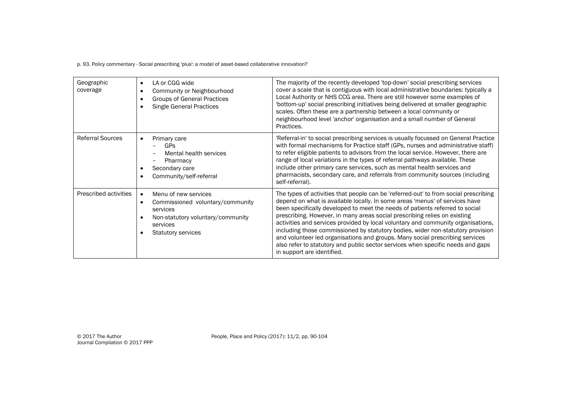p. 93. Policy commentary - Social prescribing 'plus': a model of asset-based collaborative innovation?

| Geographic<br>coverage  | LA or CGG wide<br>$\bullet$<br>Community or Neighbourhood<br><b>Groups of General Practices</b><br>٠<br><b>Single General Practices</b><br>٠                                 | The majority of the recently developed 'top-down' social prescribing services<br>cover a scale that is contiguous with local administrative boundaries: typically a<br>Local Authority or NHS CCG area. There are still however some examples of<br>'bottom-up' social prescribing initiatives being delivered at smaller geographic<br>scales. Often these are a partnership between a local community or<br>neighbourhood level 'anchor' organisation and a small number of General<br>Practices.                                                                                                                                                                                                      |
|-------------------------|------------------------------------------------------------------------------------------------------------------------------------------------------------------------------|----------------------------------------------------------------------------------------------------------------------------------------------------------------------------------------------------------------------------------------------------------------------------------------------------------------------------------------------------------------------------------------------------------------------------------------------------------------------------------------------------------------------------------------------------------------------------------------------------------------------------------------------------------------------------------------------------------|
| <b>Referral Sources</b> | Primary care<br>GPs<br>Mental health services<br>Pharmacy<br>Secondary care<br>Community/self-referral                                                                       | 'Referral-in' to social prescribing services is usually focussed on General Practice<br>with formal mechanisms for Practice staff (GPs, nurses and administrative staff)<br>to refer eligible patients to advisors from the local service. However, there are<br>range of local variations in the types of referral pathways available. These<br>include other primary care services, such as mental health services and<br>pharmacists, secondary care, and referrals from community sources (including<br>self-referral).                                                                                                                                                                              |
| Prescribed activities   | Menu of new services<br>$\bullet$<br>Commissioned voluntary/community<br>$\bullet$<br>services<br>Non-statutory voluntary/community<br>services<br><b>Statutory services</b> | The types of activities that people can be 'referred-out' to from social prescribing<br>depend on what is available locally. In some areas 'menus' of services have<br>been specifically developed to meet the needs of patients referred to social<br>prescribing. However, in many areas social prescribing relies on existing<br>activities and services provided by local voluntary and community organisations,<br>including those commissioned by statutory bodies, wider non-statutory provision<br>and volunteer led organisations and groups. Many social prescribing services<br>also refer to statutory and public sector services when specific needs and gaps<br>in support are identified. |

People, Place and Policy (2017): 11/2, pp. 90-104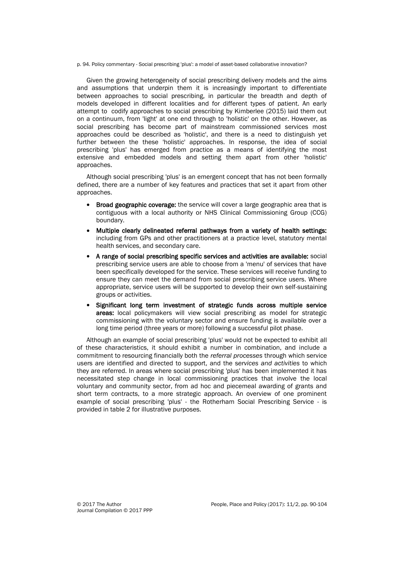p. 94. Policy commentary - Social prescribing 'plus': a model of asset-based collaborative innovation?

Given the growing heterogeneity of social prescribing delivery models and the aims and assumptions that underpin them it is increasingly important to differentiate between approaches to social prescribing, in particular the breadth and depth of models developed in different localities and for different types of patient. An early attempt to codify approaches to social prescribing by Kimberlee (2015) laid them out on a continuum, from 'light' at one end through to 'holistic' on the other. However, as social prescribing has become part of mainstream commissioned services most approaches could be described as 'holistic', and there is a need to distinguish yet further between the these 'holistic' approaches. In response, the idea of social prescribing 'plus' has emerged from practice as a means of identifying the most extensive and embedded models and setting them apart from other 'holistic' approaches.

Although social prescribing 'plus' is an emergent concept that has not been formally defined, there are a number of key features and practices that set it apart from other approaches.

- Broad geographic coverage: the service will cover a large geographic area that is contiguous with a local authority or NHS Clinical Commissioning Group (CCG) boundary.
- Multiple clearly delineated referral pathways from a variety of health settings: including from GPs and other practitioners at a practice level, statutory mental health services, and secondary care.
- A range of social prescribing specific services and activities are available: social prescribing service users are able to choose from a 'menu' of services that have been specifically developed for the service. These services will receive funding to ensure they can meet the demand from social prescribing service users. Where appropriate, service users will be supported to develop their own self-sustaining groups or activities.
- Significant long term investment of strategic funds across multiple service areas: local policymakers will view social prescribing as model for strategic commissioning with the voluntary sector and ensure funding is available over a long time period (three years or more) following a successful pilot phase.

Although an example of social prescribing 'plus' would not be expected to exhibit all of these characteristics, it should exhibit a number in combination, and include a commitment to resourcing financially both the *referral processes* through which service users are identified and directed to support, and the s*ervices and activities* to which they are referred. In areas where social prescribing 'plus' has been implemented it has necessitated step change in local commissioning practices that involve the local voluntary and community sector, from ad hoc and piecemeal awarding of grants and short term contracts, to a more strategic approach. An overview of one prominent example of social prescribing 'plus' - the Rotherham Social Prescribing Service - is provided in table 2 for illustrative purposes.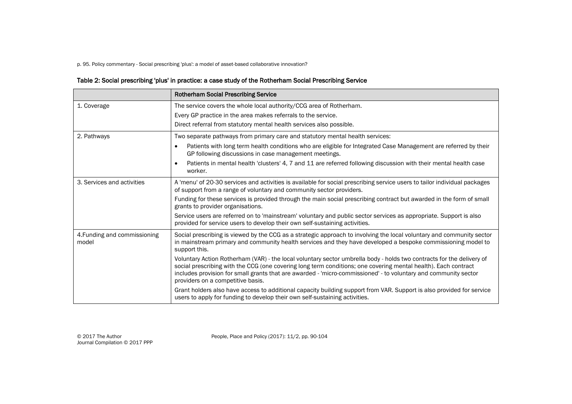p. 95. Policy commentary - Social prescribing 'plus': a model of asset-based collaborative innovation?

## Table 2: Social prescribing 'plus' in practice: a case study of the Rotherham Social Prescribing Service

|                                       | <b>Rotherham Social Prescribing Service</b>                                                                                                                                                                                                                                                                                                                                                     |
|---------------------------------------|-------------------------------------------------------------------------------------------------------------------------------------------------------------------------------------------------------------------------------------------------------------------------------------------------------------------------------------------------------------------------------------------------|
| 1. Coverage                           | The service covers the whole local authority/CCG area of Rotherham.                                                                                                                                                                                                                                                                                                                             |
|                                       | Every GP practice in the area makes referrals to the service.                                                                                                                                                                                                                                                                                                                                   |
|                                       | Direct referral from statutory mental health services also possible.                                                                                                                                                                                                                                                                                                                            |
| 2. Pathways                           | Two separate pathways from primary care and statutory mental health services:                                                                                                                                                                                                                                                                                                                   |
|                                       | Patients with long term health conditions who are eligible for Integrated Case Management are referred by their<br>GP following discussions in case management meetings.                                                                                                                                                                                                                        |
|                                       | Patients in mental health 'clusters' 4, 7 and 11 are referred following discussion with their mental health case<br>$\bullet$<br>worker.                                                                                                                                                                                                                                                        |
| 3. Services and activities            | A 'menu' of 20-30 services and activities is available for social prescribing service users to tailor individual packages<br>of support from a range of voluntary and community sector providers.                                                                                                                                                                                               |
|                                       | Funding for these services is provided through the main social prescribing contract but awarded in the form of small<br>grants to provider organisations.                                                                                                                                                                                                                                       |
|                                       | Service users are referred on to 'mainstream' voluntary and public sector services as appropriate. Support is also<br>provided for service users to develop their own self-sustaining activities.                                                                                                                                                                                               |
| 4. Funding and commissioning<br>model | Social prescribing is viewed by the CCG as a strategic approach to involving the local voluntary and community sector<br>in mainstream primary and community health services and they have developed a bespoke commissioning model to<br>support this.                                                                                                                                          |
|                                       | Voluntary Action Rotherham (VAR) - the local voluntary sector umbrella body - holds two contracts for the delivery of<br>social prescribing with the CCG (one covering long term conditions; one covering mental health). Each contract<br>includes provision for small grants that are awarded - 'micro-commissioned' - to voluntary and community sector<br>providers on a competitive basis. |
|                                       | Grant holders also have access to additional capacity building support from VAR. Support is also provided for service<br>users to apply for funding to develop their own self-sustaining activities.                                                                                                                                                                                            |

© 2017 The Author People, Place and Policy (2017): 11/2, pp. 90-104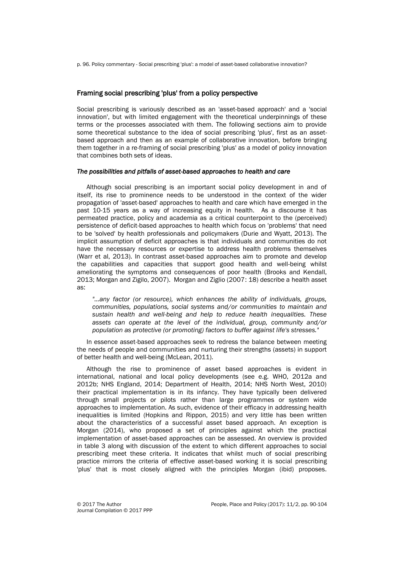p. 96. Policy commentary - Social prescribing 'plus': a model of asset-based collaborative innovation?

#### Framing social prescribing 'plus' from a policy perspective

Social prescribing is variously described as an 'asset-based approach' and a 'social innovation', but with limited engagement with the theoretical underpinnings of these terms or the processes associated with them. The following sections aim to provide some theoretical substance to the idea of social prescribing 'plus', first as an assetbased approach and then as an example of collaborative innovation, before bringing them together in a re-framing of social prescribing 'plus' as a model of policy innovation that combines both sets of ideas.

#### *The possibilities and pitfalls of asset-based approaches to health and care*

Although social prescribing is an important social policy development in and of itself, its rise to prominence needs to be understood in the context of the wider propagation of 'asset-based' approaches to health and care which have emerged in the past 10-15 years as a way of increasing equity in health. As a discourse it has permeated practice, policy and academia as a critical counterpoint to the (perceived) persistence of deficit-based approaches to health which focus on 'problems' that need to be 'solved' by health professionals and policymakers (Durie and Wyatt, 2013). The implicit assumption of deficit approaches is that individuals and communities do not have the necessary resources or expertise to address health problems themselves (Warr et al, 2013). In contrast asset-based approaches aim to promote and develop the capabilities and capacities that support good health and well-being whilst ameliorating the symptoms and consequences of poor health (Brooks and Kendall, 2013; Morgan and Zigilo, 2007). Morgan and Ziglio (2007: 18) describe a health asset as:

*"…any factor (or resource), which enhances the ability of individuals, groups, communities, populations, social systems and/or communities to maintain and sustain health and well-being and help to reduce health inequalities. These assets can operate at the level of the individual, group, community and/or population as protective (or promoting) factors to buffer against life's stresses."*

In essence asset-based approaches seek to redress the balance between meeting the needs of people and communities and nurturing their strengths (assets) in support of better health and well-being (McLean, 2011).

Although the rise to prominence of asset based approaches is evident in international, national and local policy developments (see e.g. WHO, 2012a and 2012b; NHS England, 2014; Department of Health, 2014; NHS North West, 2010) their practical implementation is in its infancy. They have typically been delivered through small projects or pilots rather than large programmes or system wide approaches to implementation. As such, evidence of their efficacy in addressing health inequalities is limited (Hopkins and Rippon, 2015) and very little has been written about the characteristics of a successful asset based approach. An exception is Morgan (2014), who proposed a set of principles against which the practical implementation of asset-based approaches can be assessed. An overview is provided in table 3 along with discussion of the extent to which different approaches to social prescribing meet these criteria. It indicates that whilst much of social prescribing practice mirrors the criteria of effective asset-based working it is social prescribing 'plus' that is most closely aligned with the principles Morgan (ibid) proposes.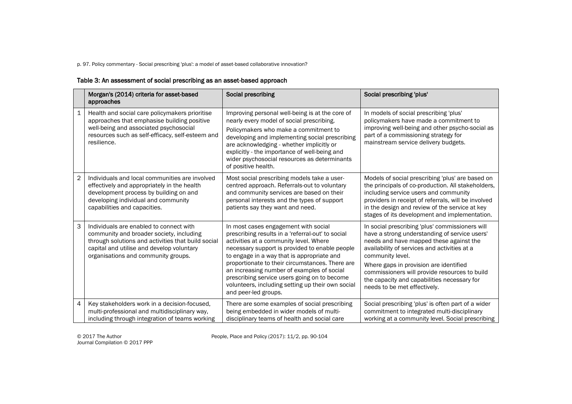p. 97. Policy commentary - Social prescribing 'plus': a model of asset-based collaborative innovation?

## Table 3: An assessment of social prescribing as an asset-based approach

|                | Morgan's (2014) criteria for asset-based<br>approaches                                                                                                                                                                        | Social prescribing                                                                                                                                                                                                                                                                                                                                                                                                                                                | Social prescribing 'plus'                                                                                                                                                                                                                                                                                                                                                                 |
|----------------|-------------------------------------------------------------------------------------------------------------------------------------------------------------------------------------------------------------------------------|-------------------------------------------------------------------------------------------------------------------------------------------------------------------------------------------------------------------------------------------------------------------------------------------------------------------------------------------------------------------------------------------------------------------------------------------------------------------|-------------------------------------------------------------------------------------------------------------------------------------------------------------------------------------------------------------------------------------------------------------------------------------------------------------------------------------------------------------------------------------------|
| $\mathbf{1}$   | Health and social care policymakers prioritise<br>approaches that emphasise building positive<br>well-being and associated psychosocial<br>resources such as self-efficacy, self-esteem and<br>resilience.                    | Improving personal well-being is at the core of<br>nearly every model of social prescribing.<br>Policymakers who make a commitment to<br>developing and implementing social prescribing<br>are acknowledging - whether implicitly or<br>explicitly - the importance of well-being and<br>wider psychosocial resources as determinants<br>of positive health.                                                                                                      | In models of social prescribing 'plus'<br>policymakers have made a commitment to<br>improving well-being and other psycho-social as<br>part of a commissioning strategy for<br>mainstream service delivery budgets.                                                                                                                                                                       |
| $\overline{2}$ | Individuals and local communities are involved<br>effectively and appropriately in the health<br>development process by building on and<br>developing individual and community<br>capabilities and capacities.                | Most social prescribing models take a user-<br>centred approach. Referrals-out to voluntary<br>and community services are based on their<br>personal interests and the types of support<br>patients say they want and need.                                                                                                                                                                                                                                       | Models of social prescribing 'plus' are based on<br>the principals of co-production. All stakeholders,<br>including service users and community<br>providers in receipt of referrals, will be involved<br>in the design and review of the service at key<br>stages of its development and implementation.                                                                                 |
| 3              | Individuals are enabled to connect with<br>community and broader society, including<br>through solutions and activities that build social<br>capital and utilise and develop voluntary<br>organisations and community groups. | In most cases engagement with social<br>prescribing results in a 'referral-out' to social<br>activities at a community level. Where<br>necessary support is provided to enable people<br>to engage in a way that is appropriate and<br>proportionate to their circumstances. There are<br>an increasing number of examples of social<br>prescribing service users going on to become<br>volunteers, including setting up their own social<br>and peer-led groups. | In social prescribing 'plus' commissioners will<br>have a strong understanding of service users'<br>needs and have mapped these against the<br>availability of services and activities at a<br>community level.<br>Where gaps in provision are identified<br>commissioners will provide resources to build<br>the capacity and capabilities necessary for<br>needs to be met effectively. |
| $\overline{4}$ | Key stakeholders work in a decision-focused,<br>multi-professional and multidisciplinary way,<br>including through integration of teams working                                                                               | There are some examples of social prescribing<br>being embedded in wider models of multi-<br>disciplinary teams of health and social care                                                                                                                                                                                                                                                                                                                         | Social prescribing 'plus' is often part of a wider<br>commitment to integrated multi-disciplinary<br>working at a community level. Social prescribing                                                                                                                                                                                                                                     |

Journal Compilation © 2017 PPP

© 2017 The Author People, Place and Policy (2017): 11/2, pp. 90-104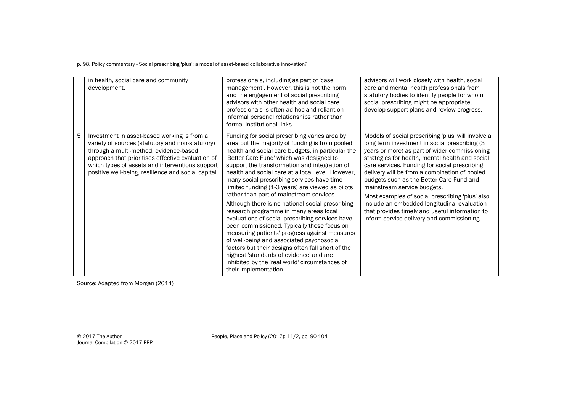p. 98. Policy commentary - Social prescribing 'plus': a model of asset-based collaborative innovation?

|   | in health, social care and community<br>development.                                                                                                                                                                                                                                                     | professionals, including as part of 'case<br>management'. However, this is not the norm<br>and the engagement of social prescribing<br>advisors with other health and social care<br>professionals is often ad hoc and reliant on<br>informal personal relationships rather than<br>formal institutional links.                                                                                                                                                                                                                                                                                                                                                                                                                                                                                                                                                                                                                | advisors will work closely with health, social<br>care and mental health professionals from<br>statutory bodies to identify people for whom<br>social prescribing might be appropriate,<br>develop support plans and review progress.                                                                                                                                                                                                                                                                                                                                                  |
|---|----------------------------------------------------------------------------------------------------------------------------------------------------------------------------------------------------------------------------------------------------------------------------------------------------------|--------------------------------------------------------------------------------------------------------------------------------------------------------------------------------------------------------------------------------------------------------------------------------------------------------------------------------------------------------------------------------------------------------------------------------------------------------------------------------------------------------------------------------------------------------------------------------------------------------------------------------------------------------------------------------------------------------------------------------------------------------------------------------------------------------------------------------------------------------------------------------------------------------------------------------|----------------------------------------------------------------------------------------------------------------------------------------------------------------------------------------------------------------------------------------------------------------------------------------------------------------------------------------------------------------------------------------------------------------------------------------------------------------------------------------------------------------------------------------------------------------------------------------|
| 5 | Investment in asset-based working is from a<br>variety of sources (statutory and non-statutory)<br>through a multi-method, evidence-based<br>approach that prioritises effective evaluation of<br>which types of assets and interventions support<br>positive well-being, resilience and social capital. | Funding for social prescribing varies area by<br>area but the majority of funding is from pooled<br>health and social care budgets, in particular the<br>'Better Care Fund' which was designed to<br>support the transformation and integration of<br>health and social care at a local level. However,<br>many social prescribing services have time<br>limited funding (1-3 years) are viewed as pilots<br>rather than part of mainstream services.<br>Although there is no national social prescribing<br>research programme in many areas local<br>evaluations of social prescribing services have<br>been commissioned. Typically these focus on<br>measuring patients' progress against measures<br>of well-being and associated psychosocial<br>factors but their designs often fall short of the<br>highest 'standards of evidence' and are<br>inhibited by the 'real world' circumstances of<br>their implementation. | Models of social prescribing 'plus' will involve a<br>long term investment in social prescribing (3<br>years or more) as part of wider commissioning<br>strategies for health, mental health and social<br>care services. Funding for social prescribing<br>delivery will be from a combination of pooled<br>budgets such as the Better Care Fund and<br>mainstream service budgets.<br>Most examples of social prescribing 'plus' also<br>include an embedded longitudinal evaluation<br>that provides timely and useful information to<br>inform service delivery and commissioning. |

Source: Adapted from Morgan (2014)

© 2017 The Author<br>Journal Compilation © 2017 PPP

People, Place and Policy (2017): 11/2, pp. 90-104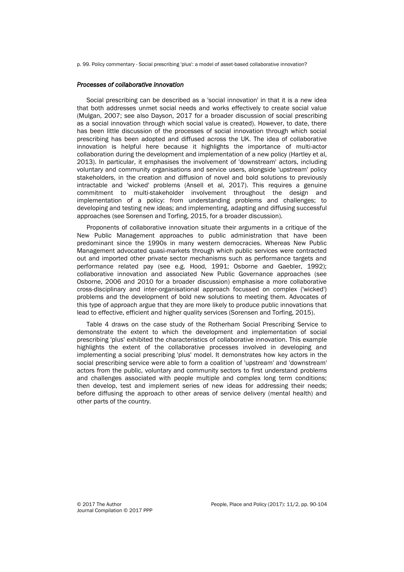p. 99. Policy commentary - Social prescribing 'plus': a model of asset-based collaborative innovation?

#### *Processes of collaborative innovation*

Social prescribing can be described as a 'social innovation' in that it is a new idea that both addresses unmet social needs and works effectively to create social value (Mulgan, 2007; see also Dayson, 2017 for a broader discussion of social prescribing as a social innovation through which social value is created). However, to date, there has been little discussion of the processes of social innovation through which social prescribing has been adopted and diffused across the UK. The idea of collaborative innovation is helpful here because it highlights the importance of multi-actor collaboration during the development and implementation of a new policy (Hartley et al, 2013). In particular, it emphasises the involvement of 'downstream' actors, including voluntary and community organisations and service users, alongside 'upstream' policy stakeholders, in the creation and diffusion of novel and bold solutions to previously intractable and 'wicked' problems (Ansell et al, 2017). This requires a genuine commitment to multi-stakeholder involvement throughout the design and implementation of a policy: from understanding problems and challenges; to developing and testing new ideas; and implementing, adapting and diffusing successful approaches (see Sorensen and Torfing, 2015, for a broader discussion).

Proponents of collaborative innovation situate their arguments in a critique of the New Public Management approaches to public administration that have been predominant since the 1990s in many western democracies. Whereas New Public Management advocated quasi-markets through which public services were contracted out and imported other private sector mechanisms such as performance targets and performance related pay (see e.g. Hood, 1991; Osborne and Gaebler, 1992); collaborative innovation and associated New Public Governance approaches (see Osborne, 2006 and 2010 for a broader discussion) emphasise a more collaborative cross-disciplinary and inter-organisational approach focussed on complex ('wicked') problems and the development of bold new solutions to meeting them. Advocates of this type of approach argue that they are more likely to produce public innovations that lead to effective, efficient and higher quality services (Sorensen and Torfing, 2015).

Table 4 draws on the case study of the Rotherham Social Prescribing Service to demonstrate the extent to which the development and implementation of social prescribing 'plus' exhibited the characteristics of collaborative innovation. This example highlights the extent of the collaborative processes involved in developing and implementing a social prescribing 'plus' model. It demonstrates how key actors in the social prescribing service were able to form a coalition of 'upstream' and 'downstream' actors from the public, voluntary and community sectors to first understand problems and challenges associated with people multiple and complex long term conditions; then develop, test and implement series of new ideas for addressing their needs; before diffusing the approach to other areas of service delivery (mental health) and other parts of the country.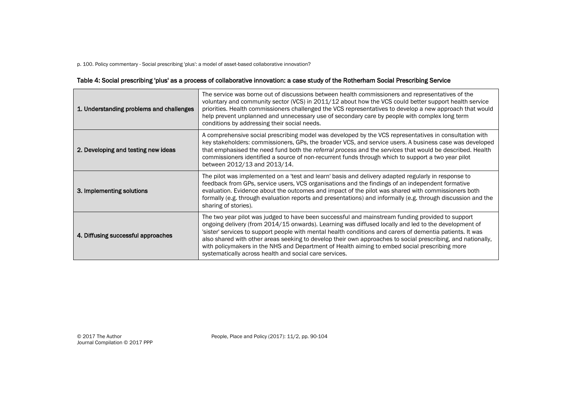p. 100. Policy commentary - Social prescribing 'plus': a model of asset-based collaborative innovation?

## Table 4: Social prescribing 'plus' as a process of collaborative innovation: a case study of the Rotherham Social Prescribing Service

| 1. Understanding problems and challenges | The service was borne out of discussions between health commissioners and representatives of the<br>voluntary and community sector (VCS) in 2011/12 about how the VCS could better support health service<br>priorities. Health commissioners challenged the VCS representatives to develop a new approach that would<br>help prevent unplanned and unnecessary use of secondary care by people with complex long term<br>conditions by addressing their social needs.                                                                                                                          |
|------------------------------------------|-------------------------------------------------------------------------------------------------------------------------------------------------------------------------------------------------------------------------------------------------------------------------------------------------------------------------------------------------------------------------------------------------------------------------------------------------------------------------------------------------------------------------------------------------------------------------------------------------|
| 2. Developing and testing new ideas      | A comprehensive social prescribing model was developed by the VCS representatives in consultation with<br>key stakeholders: commissioners, GPs, the broader VCS, and service users. A business case was developed<br>that emphasised the need fund both the referral process and the services that would be described. Health<br>commissioners identified a source of non-recurrent funds through which to support a two year pilot<br>between 2012/13 and 2013/14.                                                                                                                             |
| 3. Implementing solutions                | The pilot was implemented on a 'test and learn' basis and delivery adapted regularly in response to<br>feedback from GPs, service users, VCS organisations and the findings of an independent formative<br>evaluation. Evidence about the outcomes and impact of the pilot was shared with commissioners both<br>formally (e.g. through evaluation reports and presentations) and informally (e.g. through discussion and the<br>sharing of stories).                                                                                                                                           |
| 4. Diffusing successful approaches       | The two year pilot was judged to have been successful and mainstream funding provided to support<br>ongoing delivery (from 2014/15 onwards). Learning was diffused locally and led to the development of<br>'sister' services to support people with mental health conditions and carers of dementia patients. It was<br>also shared with other areas seeking to develop their own approaches to social prescribing, and nationally,<br>with policymakers in the NHS and Department of Health aiming to embed social prescribing more<br>systematically across health and social care services. |

Journal Compilation © 2017 PPP

© 2017 The Author People, Place and Policy (2017): 11/2, pp. 90-104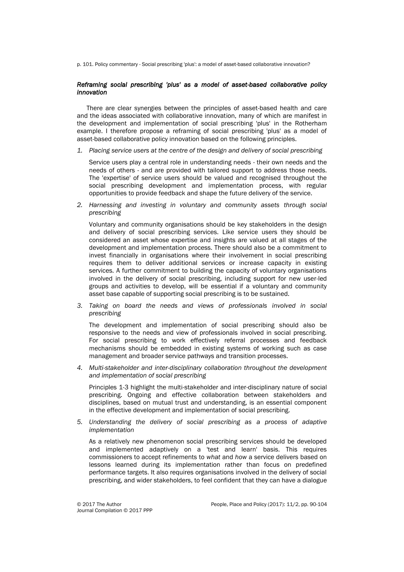p. 101. Policy commentary - Social prescribing 'plus': a model of asset-based collaborative innovation?

#### *Reframing social prescribing 'plus' as a model of asset-based collaborative policy innovation*

There are clear synergies between the principles of asset-based health and care and the ideas associated with collaborative innovation, many of which are manifest in the development and implementation of social prescribing 'plus' in the Rotherham example. I therefore propose a reframing of social prescribing 'plus' as a model of asset-based collaborative policy innovation based on the following principles.

*1. Placing service users at the centre of the design and delivery of social prescribing*

Service users play a central role in understanding needs - their own needs and the needs of others - and are provided with tailored support to address those needs. The 'expertise' of service users should be valued and recognised throughout the social prescribing development and implementation process, with regular opportunities to provide feedback and shape the future delivery of the service.

*2. Harnessing and investing in voluntary and community assets through social prescribing*

Voluntary and community organisations should be key stakeholders in the design and delivery of social prescribing services. Like service users they should be considered an asset whose expertise and insights are valued at all stages of the development and implementation process. There should also be a commitment to invest financially in organisations where their involvement in social prescribing requires them to deliver additional services or increase capacity in existing services. A further commitment to building the capacity of voluntary organisations involved in the delivery of social prescribing, including support for new user-led groups and activities to develop, will be essential if a voluntary and community asset base capable of supporting social prescribing is to be sustained.

*3. Taking on board the needs and views of professionals involved in social prescribing*

The development and implementation of social prescribing should also be responsive to the needs and view of professionals involved in social prescribing. For social prescribing to work effectively referral processes and feedback mechanisms should be embedded in existing systems of working such as case management and broader service pathways and transition processes.

*4. Multi-stakeholder and inter-disciplinary collaboration throughout the development and implementation of social prescribing*

Principles 1-3 highlight the multi-stakeholder and inter-disciplinary nature of social prescribing. Ongoing and effective collaboration between stakeholders and disciplines, based on mutual trust and understanding, is an essential component in the effective development and implementation of social prescribing.

*5. Understanding the delivery of social prescribing as a process of adaptive implementation*

As a relatively new phenomenon social prescribing services should be developed and implemented adaptively on a 'test and learn' basis. This requires commissioners to accept refinements to *what* and *how* a service delivers based on lessons learned during its implementation rather than focus on predefined performance targets. It also requires organisations involved in the delivery of social prescribing, and wider stakeholders, to feel confident that they can have a dialogue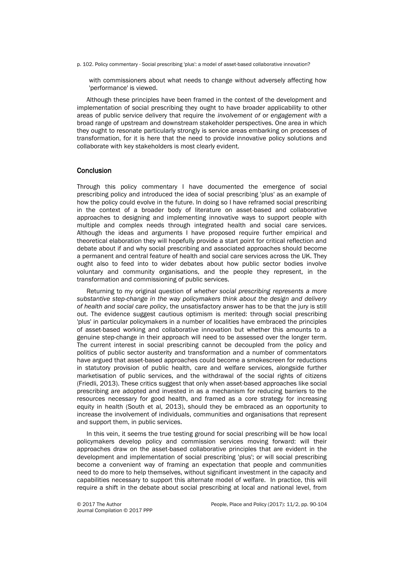p. 102. Policy commentary - Social prescribing 'plus': a model of asset-based collaborative innovation?

with commissioners about what needs to change without adversely affecting how 'performance' is viewed.

Although these principles have been framed in the context of the development and implementation of social prescribing they ought to have broader applicability to other areas of public service delivery that require the *involvement of* or *engagement with* a broad range of upstream and downstream stakeholder perspectives. One area in which they ought to resonate particularly strongly is service areas embarking on processes of transformation, for it is here that the need to provide innovative policy solutions and collaborate with key stakeholders is most clearly evident.

#### **Conclusion**

Through this policy commentary I have documented the emergence of social prescribing policy and introduced the idea of social prescribing 'plus' as an example of how the policy could evolve in the future. In doing so I have reframed social prescribing in the context of a broader body of literature on asset-based and collaborative approaches to designing and implementing innovative ways to support people with multiple and complex needs through integrated health and social care services. Although the ideas and arguments I have proposed require further empirical and theoretical elaboration they will hopefully provide a start point for critical reflection and debate about if and why social prescribing and associated approaches should become a permanent and central feature of health and social care services across the UK. They ought also to feed into to wider debates about how public sector bodies involve voluntary and community organisations, and the people they represent, in the transformation and commissioning of public services.

Returning to my original question of *whether social prescribing represents a more substantive step-change in the way policymakers think about the design and delivery of health and social care policy*, the unsatisfactory answer has to be that the jury is still out. The evidence suggest cautious optimism is merited: through social prescribing 'plus' in particular policymakers in a number of localities have embraced the principles of asset-based working and collaborative innovation but whether this amounts to a genuine step-change in their approach will need to be assessed over the longer term. The current interest in social prescribing cannot be decoupled from the policy and politics of public sector austerity and transformation and a number of commentators have argued that asset-based approaches could become a smokescreen for reductions in statutory provision of public health, care and welfare services, alongside further marketisation of public services, and the withdrawal of the social rights of citizens (Friedli, 2013). These critics suggest that only when asset-based approaches like social prescribing are adopted and invested in as a mechanism for reducing barriers to the resources necessary for good health, and framed as a core strategy for increasing equity in health (South et al, 2013), should they be embraced as an opportunity to increase the involvement of individuals, communities and organisations that represent and support them, in public services.

In this vein, it seems the true testing ground for social prescribing will be how local policymakers develop policy and commission services moving forward: will their approaches draw on the asset-based collaborative principles that are evident in the development and implementation of social prescribing 'plus'; or will social prescribing become a convenient way of framing an expectation that people and communities need to do more to help themselves, without significant investment in the capacity and capabilities necessary to support this alternate model of welfare. In practice, this will require a shift in the debate about social prescribing at local and national level, from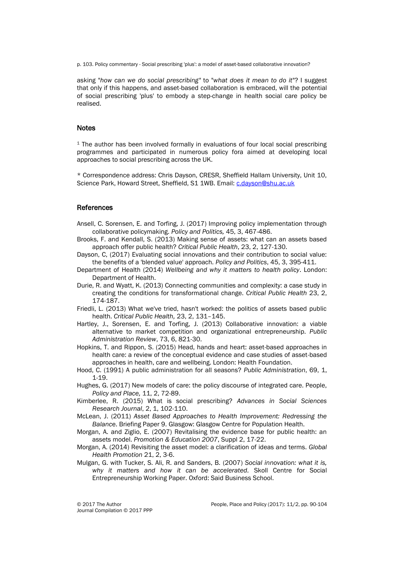p. 103. Policy commentary - Social prescribing 'plus': a model of asset-based collaborative innovation?

asking "*how can we do social prescribing"* to "*what does it mean to do it*"? I suggest that only if this happens, and asset-based collaboration is embraced, will the potential of social prescribing 'plus' to embody a step-change in health social care policy be realised.

#### **Notes**

<sup>1</sup> The author has been involved formally in evaluations of four local social prescribing programmes and participated in numerous policy fora aimed at developing local approaches to social prescribing across the UK.

\* Correspondence address: Chris Dayson, CRESR, Sheffield Hallam University, Unit 10, Science Park, Howard Street, Sheffield, S1 1WB. Email: [c.dayson@shu.ac.uk](mailto:c.dayson@shu.ac.uk)

#### References

- Ansell, C. Sorensen, E. and Torfing, J. (2017) Improving policy implementation through collaborative policymaking. *Policy and Politics,* 45, 3, 467-486.
- Brooks, F. and Kendall, S. (2013) Making sense of assets: what can an assets based approach offer public health? *Critical Public Health*, 23, 2, 127-130.
- Dayson, C, (2017) Evaluating social innovations and their contribution to social value: the benefits of a 'blended value' approach. *Policy and Politics*, 45, 3, 395-411.
- Department of Health (2014) *Wellbeing and why it matters to health policy*. London: Department of Health.
- Durie, R. and Wyatt, K. (2013) Connecting communities and complexity: a case study in creating the conditions for transformational change. *Critical Public Health* 23, 2, 174-187.
- Friedli, L. (2013) What we've tried, hasn't worked: the politics of assets based public health. *Critical Public Health,* 23, 2, 131–145.
- Hartley, J., Sorensen, E. and Torfing, J. (2013) Collaborative innovation: a viable alternative to market competition and organizational entrepreneurship. *Public Administration Review*, 73, 6, 821-30.
- Hopkins, T. and Rippon, S. (2015) Head, hands and heart: asset-based approaches in health care: a review of the conceptual evidence and case studies of asset-based approaches in health, care and wellbeing. London: Health Foundation.
- Hood, C. (1991) A public administration for all seasons? *Public Administration*, 69, 1, 1-19.
- Hughes, G. (2017) New models of care: the policy discourse of integrated care. People, *Policy and Place,* 11, 2, 72-89.
- Kimberlee, R. (2015) What is social prescribing? *Advances in Social Sciences Research Journal*, 2, 1, 102-110.
- McLean, J. (2011) *Asset Based Approaches to Health Improvement: Redressing the Balanc*e. Briefing Paper 9. Glasgow: Glasgow Centre for Population Health.
- Morgan, A. and Ziglio, E. (2007) Revitalising the evidence base for public health: an assets model. *Promotion & Education 2007*, Suppl 2, 17-22.
- Morgan, A. (2014) Revisiting the asset model: a clarification of ideas and terms. *Global Health Promotion* 21, 2, 3-6.
- Mulgan, G. with Tucker, S. Ali, R. and Sanders, B. (2007) *Social innovation: what it is, why it matters and how it can be accelerated.* Skoll Centre for Social Entrepreneurship Working Paper. Oxford: Said Business School.